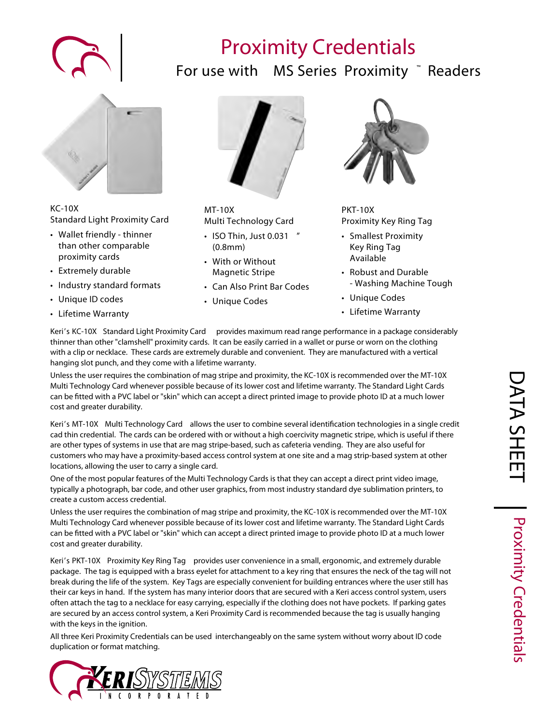# **Proximity Credentials**

### **For use with** *MS Series* **Proximity ™ Readers**



#### **KC-10X Standard Light Proximity Card**

- Wallet friendly thinner than other comparable proximity cards
- Extremely durable
- Industry standard formats
- Unique ID codes
- Lifetime Warranty



#### **MT-10X Multi Technology Card**

- ISO Thin, Just 0.031 " (0.8mm)
- With or Without Magnetic Stripe
- Can Also Print Bar Codes
- Unique Codes



#### **PKT-10X Proximity Key Ring Tag**

- Smallest Proximity Key Ring Tag Available
- Robust and Durable - Washing Machine Tough
- Unique Codes
- Lifetime Warranty

Keri's **KC-10X** *Standard Light Proximity Card* provides maximum read range performance in a package considerably thinner than other "clamshell" proximity cards. It can be easily carried in a wallet or purse or worn on the clothing with a clip or necklace. These cards are extremely durable and convenient. They are manufactured with a vertical hanging slot punch, and they come with a lifetime warranty.

Unless the user requires the combination of mag stripe and proximity, the KC-10X is recommended over the MT-10X Multi Technology Card whenever possible because of its lower cost and lifetime warranty. The Standard Light Cards can be tted with a PVC label or "skin" which can accept a direct printed image to provide photo ID at a much lower cost and greater durability.

Keri's MT-10X Multi Technology Card allows the user to combine several identification technologies in a single credit cad thin credential. The cards can be ordered with or without a high coercivity magnetic stripe, which is useful if there are other types of systems in use that are mag stripe-based, such as cafeteria vending. They are also useful for customers who may have a proximity-based access control system at one site and a mag strip-based system at other locations, allowing the user to carry a single card.

One of the most popular features of the Multi Technology Cards is that they can accept a direct print video image, typically a photograph, bar code, and other user graphics, from most industry standard dye sublimation printers, to create a custom access credential.

Unless the user requires the combination of mag stripe and proximity, the KC-10X is recommended over the MT-10X Multi Technology Card whenever possible because of its lower cost and lifetime warranty. The Standard Light Cards can be tted with a PVC label or "skin" which can accept a direct printed image to provide photo ID at a much lower cost and greater durability.

Keri's **PKT-10X** *Proximity Key Ring Tag* provides user convenience in a small, ergonomic, and extremely durable package. The tag is equipped with a brass eyelet for attachment to a key ring that ensures the neck of the tag will not break during the life of the system. Key Tags are especially convenient for building entrances where the user still has their car keys in hand. If the system has many interior doors that are secured with a Keri access control system, users often attach the tag to a necklace for easy carrying, especially if the clothing does not have pockets. If parking gates are secured by an access control system, a Keri Proximity Card is recommended because the tag is usually hanging with the keys in the ignition.

All three Keri Proximity Credentials can be used interchangeably on the same system without worry about ID code duplication or format matching.



**Proximity Credentials**